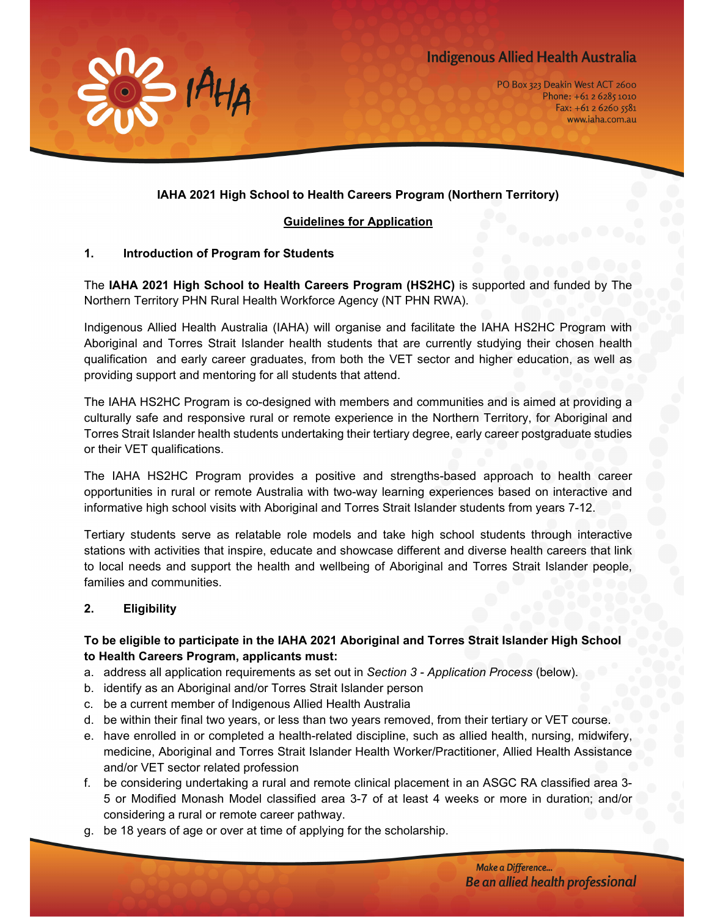# **Indigenous Allied Health Australia**



PO Box 323 Deakin West ACT 2600 Phone: +61 2 6285 1010  $Fax: +61262605581$ www.iaha.com.au

# **IAHA 2021 High School to Health Careers Program (Northern Territory)**

### **Guidelines for Application**

#### **1. Introduction of Program for Students**

The **IAHA 2021 High School to Health Careers Program (HS2HC)** is supported and funded by The Northern Territory PHN Rural Health Workforce Agency (NT PHN RWA).

Indigenous Allied Health Australia (IAHA) will organise and facilitate the IAHA HS2HC Program with Aboriginal and Torres Strait Islander health students that are currently studying their chosen health qualification and early career graduates, from both the VET sector and higher education, as well as providing support and mentoring for all students that attend.

The IAHA HS2HC Program is co-designed with members and communities and is aimed at providing a culturally safe and responsive rural or remote experience in the Northern Territory, for Aboriginal and Torres Strait Islander health students undertaking their tertiary degree, early career postgraduate studies or their VET qualifications.

The IAHA HS2HC Program provides a positive and strengths-based approach to health career opportunities in rural or remote Australia with two-way learning experiences based on interactive and informative high school visits with Aboriginal and Torres Strait Islander students from years 7-12.

Tertiary students serve as relatable role models and take high school students through interactive stations with activities that inspire, educate and showcase different and diverse health careers that link to local needs and support the health and wellbeing of Aboriginal and Torres Strait Islander people, families and communities.

## **2. Eligibility**

# **To be eligible to participate in the IAHA 2021 Aboriginal and Torres Strait Islander High School to Health Careers Program, applicants must:**

- a. address all application requirements as set out in *Section 3 Application Process* (below).
- b. identify as an Aboriginal and/or Torres Strait Islander person
- c. be a current member of Indigenous Allied Health Australia
- d. be within their final two years, or less than two years removed, from their tertiary or VET course.
- e. have enrolled in or completed a health-related discipline, such as allied health, nursing, midwifery, medicine, Aboriginal and Torres Strait Islander Health Worker/Practitioner, Allied Health Assistance and/or VET sector related profession
- f. be considering undertaking a rural and remote clinical placement in an ASGC RA classified area 3- 5 or Modified Monash Model classified area 3-7 of at least 4 weeks or more in duration; and/or considering a rural or remote career pathway.
- g. be 18 years of age or over at time of applying for the scholarship.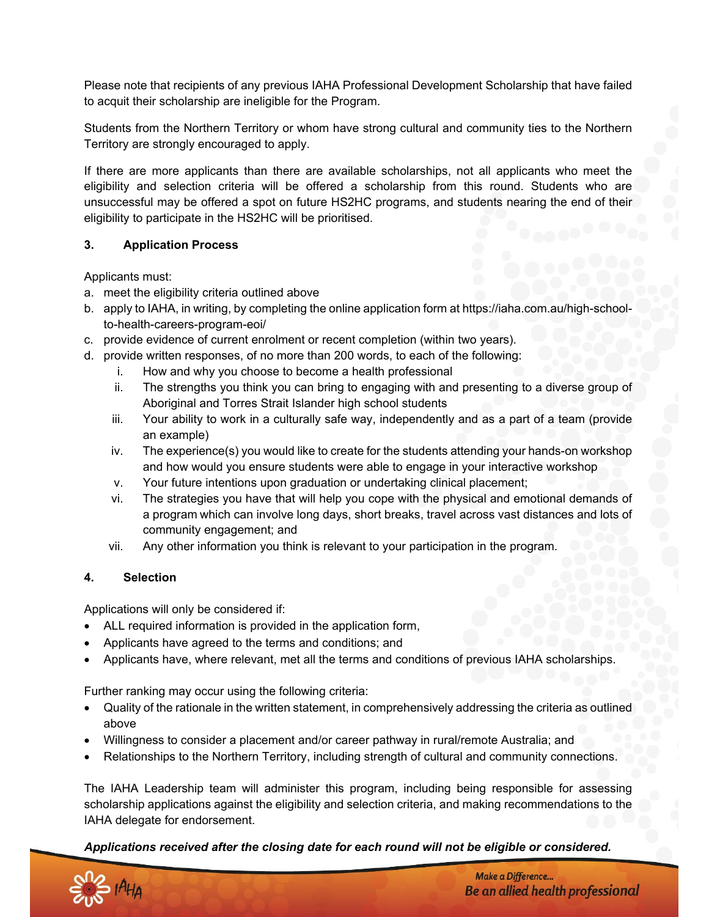Please note that recipients of any previous IAHA Professional Development Scholarship that have failed to acquit their scholarship are ineligible for the Program.

Students from the Northern Territory or whom have strong cultural and community ties to the Northern Territory are strongly encouraged to apply.

If there are more applicants than there are available scholarships, not all applicants who meet the eligibility and selection criteria will be offered a scholarship from this round. Students who are unsuccessful may be offered a spot on future HS2HC programs, and students nearing the end of their eligibility to participate in the HS2HC will be prioritised.

#### **3. Application Process**

Applicants must:

- a. meet the eligibility criteria outlined above
- b. apply to IAHA, in writing, by completing the online application form at https://iaha.com.au/high-schoolto-health-careers-program-eoi/
- c. provide evidence of current enrolment or recent completion (within two years).
- d. provide written responses, of no more than 200 words, to each of the following:
	- i. How and why you choose to become a health professional
	- ii. The strengths you think you can bring to engaging with and presenting to a diverse group of Aboriginal and Torres Strait Islander high school students
	- iii. Your ability to work in a culturally safe way, independently and as a part of a team (provide an example)
	- iv. The experience(s) you would like to create for the students attending your hands-on workshop and how would you ensure students were able to engage in your interactive workshop
	- v. Your future intentions upon graduation or undertaking clinical placement;
	- vi. The strategies you have that will help you cope with the physical and emotional demands of a program which can involve long days, short breaks, travel across vast distances and lots of community engagement; and
	- vii. Any other information you think is relevant to your participation in the program.

#### **4. Selection**

Applications will only be considered if:

- ALL required information is provided in the application form,
- Applicants have agreed to the terms and conditions; and
- Applicants have, where relevant, met all the terms and conditions of previous IAHA scholarships.

Further ranking may occur using the following criteria:

- Quality of the rationale in the written statement, in comprehensively addressing the criteria as outlined above
- Willingness to consider a placement and/or career pathway in rural/remote Australia; and
- Relationships to the Northern Territory, including strength of cultural and community connections.

The IAHA Leadership team will administer this program, including being responsible for assessing scholarship applications against the eligibility and selection criteria, and making recommendations to the IAHA delegate for endorsement.

*Applications received after the closing date for each round will not be eligible or considered.*